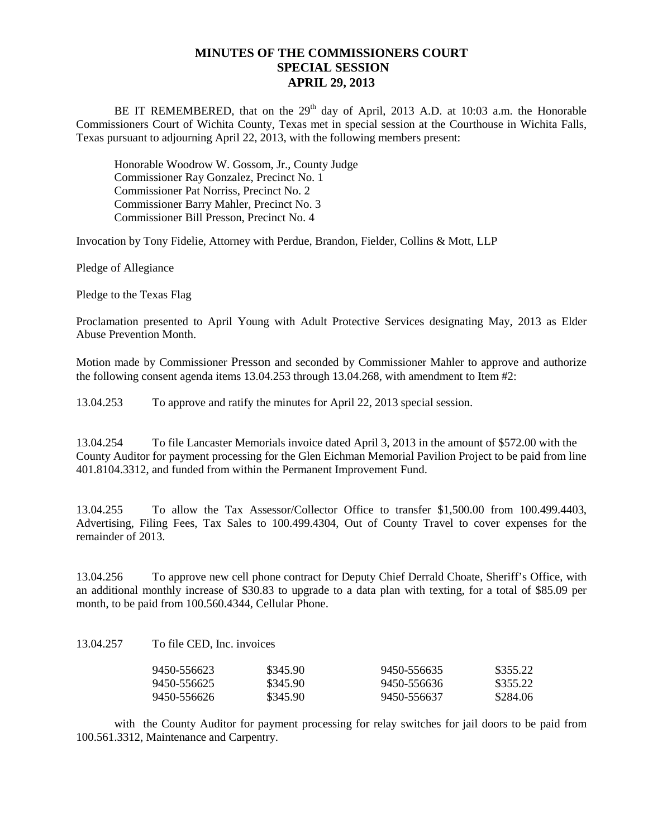## **MINUTES OF THE COMMISSIONERS COURT SPECIAL SESSION APRIL 29, 2013**

BE IT REMEMBERED, that on the  $29<sup>th</sup>$  day of April, 2013 A.D. at 10:03 a.m. the Honorable Commissioners Court of Wichita County, Texas met in special session at the Courthouse in Wichita Falls, Texas pursuant to adjourning April 22, 2013, with the following members present:

Honorable Woodrow W. Gossom, Jr., County Judge Commissioner Ray Gonzalez, Precinct No. 1 Commissioner Pat Norriss, Precinct No. 2 Commissioner Barry Mahler, Precinct No. 3 Commissioner Bill Presson, Precinct No. 4

Invocation by Tony Fidelie, Attorney with Perdue, Brandon, Fielder, Collins & Mott, LLP

Pledge of Allegiance

Pledge to the Texas Flag

Proclamation presented to April Young with Adult Protective Services designating May, 2013 as Elder Abuse Prevention Month.

Motion made by Commissioner Presson and seconded by Commissioner Mahler to approve and authorize the following consent agenda items 13.04.253 through 13.04.268, with amendment to Item #2:

13.04.253 To approve and ratify the minutes for April 22, 2013 special session.

13.04.254 To file Lancaster Memorials invoice dated April 3, 2013 in the amount of \$572.00 with the County Auditor for payment processing for the Glen Eichman Memorial Pavilion Project to be paid from line 401.8104.3312, and funded from within the Permanent Improvement Fund.

13.04.255 To allow the Tax Assessor/Collector Office to transfer \$1,500.00 from 100.499.4403, Advertising, Filing Fees, Tax Sales to 100.499.4304, Out of County Travel to cover expenses for the remainder of 2013.

13.04.256 To approve new cell phone contract for Deputy Chief Derrald Choate, Sheriff's Office, with an additional monthly increase of \$30.83 to upgrade to a data plan with texting, for a total of \$85.09 per month, to be paid from 100.560.4344, Cellular Phone.

13.04.257 To file CED, Inc. invoices

| 9450-556623 | \$345.90 | 9450-556635 | \$355.22 |
|-------------|----------|-------------|----------|
| 9450-556625 | \$345.90 | 9450-556636 | \$355.22 |
| 9450-556626 | \$345.90 | 9450-556637 | \$284.06 |

with the County Auditor for payment processing for relay switches for jail doors to be paid from 100.561.3312, Maintenance and Carpentry.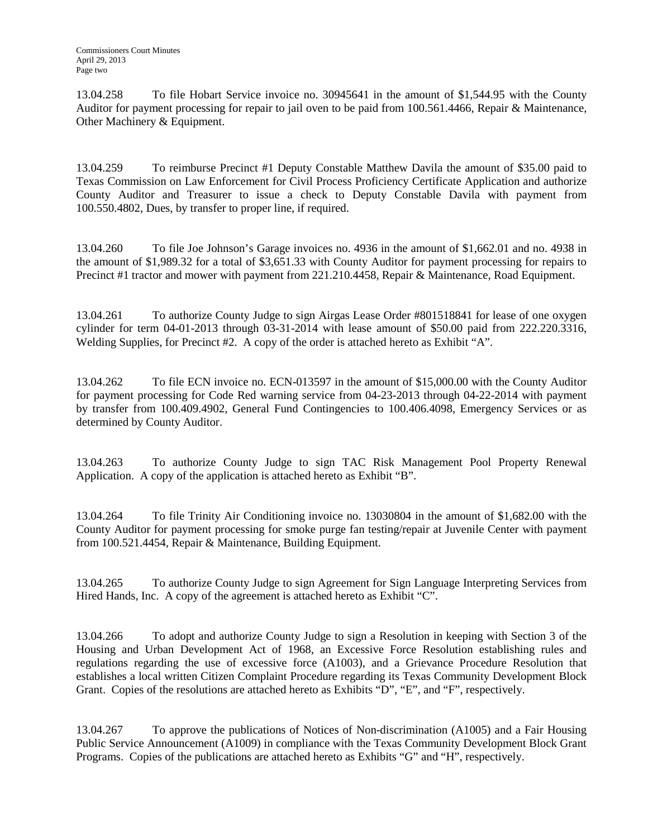13.04.258 To file Hobart Service invoice no. 30945641 in the amount of \$1,544.95 with the County Auditor for payment processing for repair to jail oven to be paid from 100.561.4466, Repair & Maintenance, Other Machinery & Equipment.

13.04.259 To reimburse Precinct #1 Deputy Constable Matthew Davila the amount of \$35.00 paid to Texas Commission on Law Enforcement for Civil Process Proficiency Certificate Application and authorize County Auditor and Treasurer to issue a check to Deputy Constable Davila with payment from 100.550.4802, Dues, by transfer to proper line, if required.

13.04.260 To file Joe Johnson's Garage invoices no. 4936 in the amount of \$1,662.01 and no. 4938 in the amount of \$1,989.32 for a total of \$3,651.33 with County Auditor for payment processing for repairs to Precinct #1 tractor and mower with payment from 221.210.4458, Repair & Maintenance, Road Equipment.

13.04.261 To authorize County Judge to sign Airgas Lease Order #801518841 for lease of one oxygen cylinder for term 04-01-2013 through 03-31-2014 with lease amount of \$50.00 paid from 222.220.3316, Welding Supplies, for Precinct #2. A copy of the order is attached hereto as Exhibit "A".

13.04.262 To file ECN invoice no. ECN-013597 in the amount of \$15,000.00 with the County Auditor for payment processing for Code Red warning service from 04-23-2013 through 04-22-2014 with payment by transfer from 100.409.4902, General Fund Contingencies to 100.406.4098, Emergency Services or as determined by County Auditor.

13.04.263 To authorize County Judge to sign TAC Risk Management Pool Property Renewal Application. A copy of the application is attached hereto as Exhibit "B".

13.04.264 To file Trinity Air Conditioning invoice no. 13030804 in the amount of \$1,682.00 with the County Auditor for payment processing for smoke purge fan testing/repair at Juvenile Center with payment from 100.521.4454, Repair & Maintenance, Building Equipment.

13.04.265 To authorize County Judge to sign Agreement for Sign Language Interpreting Services from Hired Hands, Inc. A copy of the agreement is attached hereto as Exhibit "C".

13.04.266 To adopt and authorize County Judge to sign a Resolution in keeping with Section 3 of the Housing and Urban Development Act of 1968, an Excessive Force Resolution establishing rules and regulations regarding the use of excessive force (A1003), and a Grievance Procedure Resolution that establishes a local written Citizen Complaint Procedure regarding its Texas Community Development Block Grant. Copies of the resolutions are attached hereto as Exhibits "D", "E", and "F", respectively.

13.04.267 To approve the publications of Notices of Non-discrimination (A1005) and a Fair Housing Public Service Announcement (A1009) in compliance with the Texas Community Development Block Grant Programs. Copies of the publications are attached hereto as Exhibits "G" and "H", respectively.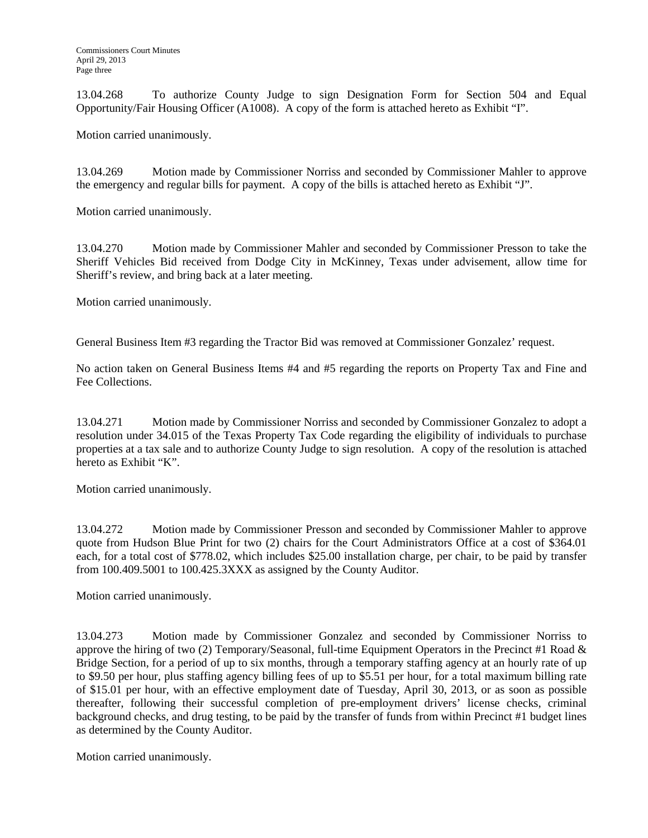13.04.268 To authorize County Judge to sign Designation Form for Section 504 and Equal Opportunity/Fair Housing Officer (A1008). A copy of the form is attached hereto as Exhibit "I".

Motion carried unanimously.

13.04.269 Motion made by Commissioner Norriss and seconded by Commissioner Mahler to approve the emergency and regular bills for payment. A copy of the bills is attached hereto as Exhibit "J".

Motion carried unanimously.

13.04.270 Motion made by Commissioner Mahler and seconded by Commissioner Presson to take the Sheriff Vehicles Bid received from Dodge City in McKinney, Texas under advisement, allow time for Sheriff's review, and bring back at a later meeting.

Motion carried unanimously.

General Business Item #3 regarding the Tractor Bid was removed at Commissioner Gonzalez' request.

No action taken on General Business Items #4 and #5 regarding the reports on Property Tax and Fine and Fee Collections.

13.04.271 Motion made by Commissioner Norriss and seconded by Commissioner Gonzalez to adopt a resolution under 34.015 of the Texas Property Tax Code regarding the eligibility of individuals to purchase properties at a tax sale and to authorize County Judge to sign resolution. A copy of the resolution is attached hereto as Exhibit "K".

Motion carried unanimously.

13.04.272 Motion made by Commissioner Presson and seconded by Commissioner Mahler to approve quote from Hudson Blue Print for two (2) chairs for the Court Administrators Office at a cost of \$364.01 each, for a total cost of \$778.02, which includes \$25.00 installation charge, per chair, to be paid by transfer from 100.409.5001 to 100.425.3XXX as assigned by the County Auditor.

Motion carried unanimously.

13.04.273 Motion made by Commissioner Gonzalez and seconded by Commissioner Norriss to approve the hiring of two (2) Temporary/Seasonal, full-time Equipment Operators in the Precinct #1 Road  $\&$ Bridge Section, for a period of up to six months, through a temporary staffing agency at an hourly rate of up to \$9.50 per hour, plus staffing agency billing fees of up to \$5.51 per hour, for a total maximum billing rate of \$15.01 per hour, with an effective employment date of Tuesday, April 30, 2013, or as soon as possible thereafter, following their successful completion of pre-employment drivers' license checks, criminal background checks, and drug testing, to be paid by the transfer of funds from within Precinct #1 budget lines as determined by the County Auditor.

Motion carried unanimously.